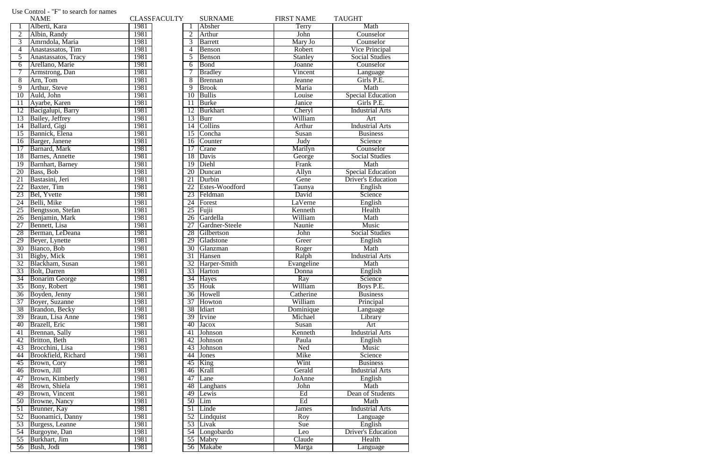|                 | <b>NAME</b>             | <b>CLASSFACULTY</b> |                 | <b>SURNAME</b>  | <b>FIRST NAME</b> | <b>TAUGHT</b>             |
|-----------------|-------------------------|---------------------|-----------------|-----------------|-------------------|---------------------------|
|                 | Alberti, Kara           | 1981                |                 | Absher          | Terry             | Math                      |
| $\overline{2}$  | Albin, Randy            | 1981                | $\overline{2}$  | Arthur          | John              | Counselor                 |
| $\overline{3}$  | Amrndola, Maria         | 1981                | 3               | <b>B</b> arrett | Mary Jo           | Counselor                 |
| 4               | Anastassatos, Tim       | 1981                | 4               | Benson          | Robert            | Vice Principal            |
| $\overline{5}$  | Anastassatos, Tracy     | 1981                | 5               | Benson          | <b>Stanley</b>    | <b>Social Studies</b>     |
| 6               | Arellano, Marie         | 1981                | 6               | Bond            | <b>Joanne</b>     | Counselor                 |
| 7               | Armstrong, Dan          | 1981                |                 | <b>Bradley</b>  | Vincent           | Language                  |
| 8               | Arn, Tom                | 1981                | 8               | <b>Brennan</b>  | Jeanne            | Girls P.E.                |
| $\overline{9}$  | Arthur, Steve           | 1981                | 9               | <b>Brook</b>    | Maria             | Math                      |
| $\overline{10}$ | Auld, John              | 1981                | 10              | <b>Bullis</b>   | Louise            | <b>Special Education</b>  |
| 11              | Ayarbe, Karen           | 1981                | 11              | <b>Burke</b>    | Janice            | Girls P.E.                |
| 12              | Bacigalupi, Barry       | 1981                | $\overline{12}$ | <b>Burkhart</b> | Cheryl            | <b>Industrial Arts</b>    |
| 13              | Bailey, Jeffrey         | 1981                | 13              | <b>Burr</b>     | William           | Art                       |
| $\overline{14}$ | Ballard, Gigi           | 1981                | 14              | Collins         | Arthur            | <b>Industrial Arts</b>    |
| $\overline{15}$ | Bannick, Elena          | 1981                | 15              | Concha          | Susan             | <b>Business</b>           |
| 16              | Barger, Janene          | 1981                | 16              | Counter         | Judy              | Science                   |
| $\overline{17}$ | Barnard, Mark           | 1981                | $\overline{17}$ | Crane           | Marilyn           | Counselor                 |
|                 |                         |                     |                 |                 |                   |                           |
| 18              | <b>Barnes</b> , Annette | 1981                | 18              | Davis           | George            | <b>Social Studies</b>     |
| 19              | Barnhart, Barney        | 1981                | 19              | Diehl           | Frank             | Math                      |
| 20              | Bass, Bob               | 1981                | 20              | Duncan          | Allyn             | <b>Special Education</b>  |
| 21              | Bastasini, Jeri         | 1981                | 21              | Durbin          | Gene              | <b>Driver's Education</b> |
| 22              | Baxter, Tim             | 1981                | 22              | Estes-Woodford  | Taunya            | English                   |
| 23              | Bel, Yvette             | 1981                | 23              | Feldman         | David             | Science                   |
| $\overline{24}$ | Belli, Mike             | 1981                | 24              | Forest          | LaVerne           | English                   |
| 25              | Bengtsson, Stefan       | 1981                | 25              | Fujii           | Kenneth           | Health                    |
| $\overline{26}$ | Benjamin, Mark          | 1981                | 26              | Gardella        | William           | Math                      |
| $\overline{27}$ | Bennett, Lisa           | 1981                | $\overline{27}$ | Gardner-Steele  | Naunie            | Music                     |
| 28              | Berman, LeDeana         | 1981                | 28              | Gilbertson      | John              | <b>Social Studies</b>     |
| 29              | Beyer, Lynette          | 1981                | 29              | Gladstone       | Greer             | English                   |
| 30              | Bianco, Bob             | 1981                | $\overline{30}$ | Glanzman        | Roger             | Math                      |
| 31              | Bigby, Mick             | 1981                | $\overline{31}$ | Hansen          | Ralph             | <b>Industrial Arts</b>    |
| 32              | Blackham, Susan         | 1981                |                 | 32 Harper-Smith | Evangeline        | Math                      |
| 33              | <b>Bolt</b> , Darren    | 1981                |                 | 33 Harton       | Donna             | English                   |
| 34              | <b>Bonarim George</b>   | 1981                |                 | 34 Hayes        | Ray               | Science                   |
| $\overline{35}$ | Bony, Robert            | 1981                | $\overline{35}$ | Houk            | William           | Boys P.E.                 |
| $\overline{36}$ | Boyden, Jenny           | 1981                |                 | 36 Howell       | Catherine         | <b>Business</b>           |
| 37              | Boyer, Suzanne          | 1981                | $\overline{37}$ | Howton          | William           | Principal                 |
| 38              | Brandon, Becky          | 1981                | 38              | Idiart          | Dominique         | Language                  |
| 39              | Braun, Lisa Anne        | 1981                | 39              | Irvine          | Michael           | Library                   |
| 40              | Brazell, Eric           | 1981                | 40              | Jacox           | Susan             | Art                       |
| 41              | Brennan, Sally          | 1981                | 41              | Johnson         | Kenneth           | <b>Industrial Arts</b>    |
| 42              | Britton, Beth           | 1981                | 42              | Johnson         | Paula             | English                   |
| 43              | Brocchini, Lisa         | 1981                | 43              | <b>Johnson</b>  | Ned               | Music                     |
| 44              | Brookfield, Richard     | 1981                | 44              | Jones           | Mike              | Science                   |
| 45              | Brown, Cory             | 1981                | 45              | King            | Wint              | <b>Business</b>           |
| 46              | Brown, Jill             | 1981                | 46              | Krall           | Gerald            | <b>Industrial Arts</b>    |
| 47              | Brown, Kimberly         | 1981                | 47              | Lane            | JoAnne            | English                   |
| 48              | Brown, Shiela           | 1981                | 48              | Langhans        | John              | Math                      |
| 49              | Brown, Vincent          | 1981                | 49              | Lewis           | Ed                | Dean of Students          |
| 50              | Browne, Nancy           | 1981                | 50              | Lim             | Ed                | Math                      |
| 51              | Brunner, Kay            | 1981                | $\overline{51}$ | Linde           | James             | <b>Industrial Arts</b>    |
| $\overline{52}$ | Buonamici, Danny        | 1981                |                 | 52 Lindquist    | Roy               | Language                  |
| 53              | Burgess, Leanne         | 1981                | $\overline{53}$ | Livak           | Sue               | English                   |
| 54              | Burgoyne, Dan           | 1981                | 54              | Longobardo      | Leo               | <b>Driver's Education</b> |
| 55              | Burkhart, Jim           | 1981                |                 | 55 Mabry        | Claude            | Health                    |
| 56              | Bush, Jodi              | 1981                |                 | 56 Makabe       | Marga             |                           |
|                 |                         |                     |                 |                 |                   | Language                  |

## Use Control - "F" to search for names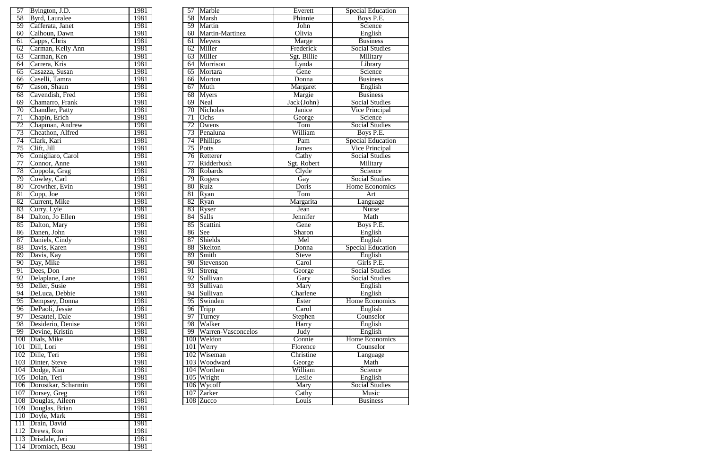| 57              | Byington, J.D.          | 1981 | $\overline{57}$ | Marble             | Everett      | <b>Special Education</b> |
|-----------------|-------------------------|------|-----------------|--------------------|--------------|--------------------------|
| 58              | Byrd, Lauralee          | 1981 | 58              | <b>Marsh</b>       | Phinnie      | Boys P.E.                |
| $\overline{59}$ | Cafferata, Janet        | 1981 | 59              | Martin             | John         | Science                  |
| 60              | Calhoun, Dawn           | 1981 | 60              | Martin-Martinez    | Olivia       | English                  |
| 61              | Capps, Chris            | 1981 | 61              | Meyers             | Marge        | <b>Business</b>          |
| 62              | Carman, Kelly Ann       | 1981 | $\overline{62}$ | Miller             | Frederick    | <b>Social Studies</b>    |
| 63              | Carman, Ken             | 1981 | 63              | Miller             | Sgt. Billie  | Military                 |
| 64              | Carrera, Kris           | 1981 | 64              | Morrison           | Lynda        | Library                  |
| 65              | Casazza, Susan          | 1981 | 65              | Mortara            | Gene         | Science                  |
| 66              | Caselli, Tamra          | 1981 | 66              | Morton             | Donna        | <b>Business</b>          |
| 67              | Cason, Shaun            | 1981 | 67              | Muth               | Margaret     | English                  |
| 68              | Cavendish, Fred         | 1981 | 68              | <b>Myers</b>       | Margie       | <b>Business</b>          |
| 69              | Chamarro, Frank         | 1981 | 69              | Neal               | Jack{John}   | <b>Social Studies</b>    |
| 70              | Chandler, Patty         | 1981 | $\overline{70}$ | <b>Nicholas</b>    | Janice       | <b>Vice Principal</b>    |
| 71              | Chapin, Erich           | 1981 | 71              | Ochs               | George       | Science                  |
| 72              | Chapman, Andrew         | 1981 | 72              | Owens              | Tom          | <b>Social Studies</b>    |
| 73              | Cheathon, Alfred        | 1981 | 73              | Penaluna           | William      | Boys P.E.                |
| 74              | Clark, Kari             | 1981 | 74              | Phillips           | Pam          | <b>Special Education</b> |
| 75              | Clift, Jill             | 1981 | $\overline{75}$ | Potts              | <b>James</b> | <b>Vice Principal</b>    |
| 76              | Conigliaro, Carol       | 1981 | $\overline{76}$ | Retterer           | Cathy        | <b>Social Studies</b>    |
| 77              | Connor, Anne            | 1981 | 77              | Ridderbush         | Sgt. Robert  | Military                 |
| 78              | Coppola, Grag           | 1981 | 78              | Robards            | Clyde        | Science                  |
| 79              | Cowley, Carl            | 1981 | 79              | Rogers             | Gay          | <b>Social Studies</b>    |
| 80              | Crowther, Evin          | 1981 | 80              | Ruiz               | Doris        | <b>Home Economics</b>    |
| 81              | Cupp, Joe               | 1981 | 81              | Ryan               | Tom          | Art                      |
| 82              | Current, Mike           | 1981 | 82              | Ryan               | Margarita    | Language                 |
| 83              | Curry, Lyle             | 1981 | 83              | Ryser              | Jean         | <b>Nurse</b>             |
| 84              | Dalton, Jo Ellen        | 1981 | 84              | <b>Salls</b>       | Jennifer     | Math                     |
| 85              | Dalton, Mary            | 1981 | 85              | Scattini           | Gene         | Boys P.E.                |
| 86              | Danen, John             | 1981 | 86              | See                | Sharon       | English                  |
| 87              | Daniels, Cindy          | 1981 | 87              | Shields            | Mel          | English                  |
| 88              | Davis, Karen            | 1981 | 88              | Skelton            | Donna        | <b>Special Education</b> |
| 89              | Davis, Kay              | 1981 | 89              | Smith              | <b>Steve</b> | English                  |
| 90              | Day, Mike               | 1981 | 90              | Stevenson          | Carol        | Girls P.E.               |
|                 | 91 Dees, Don            | 1981 | 91              | Streng             | George       | <b>Social Studies</b>    |
| 92              | Delaplane, Lane         | 1981 | 92              | Sullivan           | Gary         | <b>Social Studies</b>    |
|                 | 93 Deller, Susie        | 1981 | 93              | Sullivan           | Mary         | English                  |
| 94              | DeLuca, Debbie          | 1981 | 94              | Sullivan           | Charlene     | English                  |
| 95              | Dempsey, Donna          | 1981 | 95              | Swinden            | Ester        | Home Economics           |
| $\overline{96}$ | DePaoli, Jessie         | 1981 | $\overline{96}$ | Tripp              | Carol        | English                  |
| 97              | Desautel, Dale          | 1981 | 97              | Turney             | Stephen      | Counselor                |
| 98              | Desiderio, Denise       | 1981 | 98              | Walker             | <b>Harry</b> | English                  |
| 99              | Devine, Kristin         | 1981 | 99              | Warren-Vasconcelos | Judy         | English                  |
|                 | 100 Dials, Mike         | 1981 |                 | 100 Weldon         | Connie       | <b>Home Economics</b>    |
|                 | 101 Dill, Lori          | 1981 | 101             | Werry              | Florence     | Counselor                |
|                 | 102 Dille, Teri         | 1981 |                 | 102 Wiseman        | Christine    |                          |
|                 |                         | 1981 |                 |                    |              | Language                 |
|                 | 103 Dinter, Steve       |      |                 | 103 Woodward       | George       | Math                     |
|                 | 104 Dodge, Kim          | 1981 |                 | 104 Worthen        | William      | Science                  |
|                 | 105 Dolan, Teri         | 1981 |                 | 105 Wright         | Leslie       | English                  |
|                 | 106 Dorostkar, Scharmin | 1981 |                 | 106 Wycoff         | Mary         | <b>Social Studies</b>    |
|                 | 107   Dorsey, Greg      | 1981 |                 | 107 Zarker         | Cathy        | <b>Music</b>             |
|                 | 108 Douglas, Aileen     | 1981 |                 | 108 Zucco          | Louis        | <b>Business</b>          |

| 57              | Byington, J.D.      | 1981 |
|-----------------|---------------------|------|
| 58              | Byrd, Lauralee      | 1981 |
| $\overline{59}$ | Cafferata, Janet    | 1981 |
| 60              | Calhoun, Dawn       | 1981 |
| 61              | Capps, Chris        | 1981 |
| 62              | Carman, Kelly Ann   | 1981 |
| 63              | Carman, Ken         | 1981 |
| 64              | Carrera, Kris       | 1981 |
| 65              | Casazza, Susan      | 1981 |
| 66              | Caselli, Tamra      | 1981 |
| 67              | Cason, Shaun        | 1981 |
| $\overline{68}$ | Cavendish, Fred     | 1981 |
| 69              | Chamarro, Frank     | 1981 |
| $\overline{70}$ | Chandler, Patty     | 1981 |
| $\overline{71}$ | Chapin, Erich       | 1981 |
| $\overline{72}$ | Chapman, Andrew     | 1981 |
| 73              | Cheathon, Alfred    | 1981 |
| 74              | Clark, Kari         | 1981 |
| 75              | Clift, Jill         | 1981 |
| $\overline{76}$ | Conigliaro, Carol   | 1981 |
| 77              | Connor, Anne        | 1981 |
| 78              |                     | 1981 |
|                 | Coppola, Grag       |      |
| 79              | Cowley, Carl        | 1981 |
| 80              | Crowther, Evin      | 1981 |
| 81              | Cupp, Joe           | 1981 |
| 82              | Current, Mike       | 1981 |
| 83              | Curry, Lyle         | 1981 |
| 84              | Dalton, Jo Ellen    | 1981 |
| 85              | Dalton, Mary        | 1981 |
| 86              | Danen, John         | 1981 |
| $\overline{87}$ | Daniels, Cindy      | 1981 |
| 88              | Davis, Karen        | 1981 |
| 89              | Davis, Kay          | 1981 |
| 90              | Day, Mike           | 1981 |
| 91              | Dees, Don           | 1981 |
| 92              | Delaplane, Lane     | 1981 |
| 93              | Deller, Susie       | 1981 |
| 94              | DeLuca, Debbie      | 1981 |
| 95              | Dempsey, Donna      | 1981 |
| 96              | DePaoli, Jessie     | 1981 |
| $\overline{97}$ | Desautel, Dale      | 1981 |
| 98              | Desiderio, Denise   | 1981 |
| 99              | Devine, Kristin     | 1981 |
| 100             | Dials, Mike         | 1981 |
| 101             | Dill, Lori          | 1981 |
| 102             | Dille, Teri         | 1981 |
| 103             | Dinter, Steve       | 1981 |
| 104             | Dodge, Kim          | 1981 |
| 105             | Dolan, Teri         | 1981 |
| 106             | Dorostkar, Scharmin | 1981 |
| 107             | Dorsey, Greg        | 1981 |
| 108             | Douglas, Aileen     | 1981 |
| 109             | Douglas, Brian      | 1981 |
| 110             | Doyle, Mark         | 1981 |
| 111             | Drain, David        | 1981 |
| 112             | Drews, Ron          | 1981 |
| 113             | Drisdale, Jeri      | 1981 |
| 114             | Dromiach, Beau      | 1981 |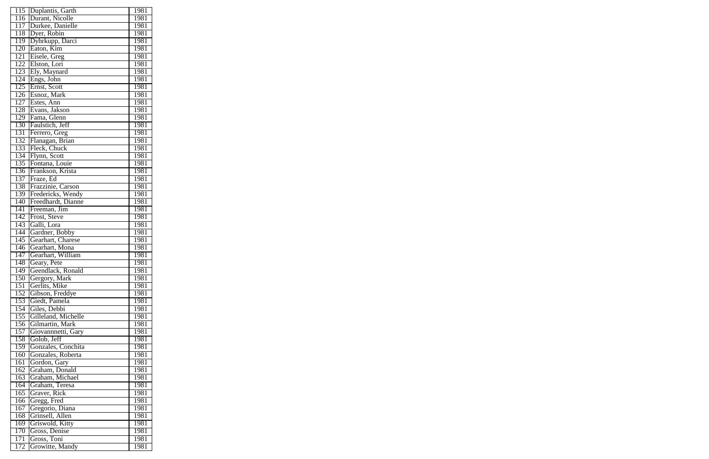| 115              | Duplantis, Garth    | 1981 |
|------------------|---------------------|------|
| 116              | Durant, Nicolle     | 1981 |
| 117              | Durkee, Danielle    | 1981 |
| 118              | Dyer, Robin         | 1981 |
| 119              | Dyhrkupp, Darci     | 1981 |
| 120              | Eaton, Kim          | 1981 |
| 121              | Eisele, Greg        | 1981 |
| 122              | Elston, Lori        | 1981 |
| 123              | Ely, Maynard        | 1981 |
| 124              | Engs, John          | 1981 |
| $\overline{125}$ | Ernst, Scott        | 1981 |
| $\overline{126}$ | Esnoz, Mark         | 1981 |
| 127              | Estes, Ann          | 1981 |
| 128              | Evans, Jakson       | 1981 |
| 129              | Fama, Glenn         | 1981 |
| 130              | Faulstich, Jeff     | 1981 |
| 131              | Ferrero, Greg       | 1981 |
| 132              | Flanagan, Brian     | 1981 |
| 133              |                     |      |
|                  | Fleck, Chuck        | 1981 |
| 134              | Flynn, Scott        | 1981 |
| 135              | Fontana, Louie      | 1981 |
| 136              | Frankson, Krista    | 1981 |
| 137              | Fraze, Ed           | 1981 |
| 138              | Frazzinie, Carson   | 1981 |
| 139              | Fredericks, Wendy   | 1981 |
| 140              | Freedhardt, Dianne  | 1981 |
| 141              | Freeman, Jim        | 1981 |
| 142              | Frost, Steve        | 1981 |
| 143              | Galli, Lora         | 1981 |
| 144              | Gardner, Bobby      | 1981 |
| 145              | Gearhart, Charese   | 1981 |
| $1\overline{46}$ | Gearhart, Mona      | 1981 |
| $\overline{147}$ | Gearhart, William   | 1981 |
| 148              | Geary, Pete         | 1981 |
| 149              | Geendlack, Ronald   | 1981 |
| 150              | Gergory, Mark       | 1981 |
| 151              | Gerlits, Mike       | 1981 |
| 152              | Gibson, Freddye     | 1981 |
| 153              | Giedt, Pamela       | 1981 |
| 154              | Giles, Debbi        | 1981 |
| 155              | Gilleland, Michelle | 1981 |
| 156              | Gilmartin, Mark     | 1981 |
| 157              | Giovannnetti, Gary  | 1981 |
| 158              | Golob, Jeff         | 1981 |
| 159              | Gonzales, Conchita  | 1981 |
| 160              | Gonzales, Roberta   | 1981 |
| 161              | Gordon, Gary        | 1981 |
| 162              | Graham, Donald      | 1981 |
| 163              | Graham, Michael     | 1981 |
| 164              | Graham, Teresa      | 1981 |
| 165              | Graver, Rick        | 1981 |
| 166              | Gregg, Fred         | 1981 |
| 167              | Gregorio, Diana     | 1981 |
| 168              | Grinsell, Allen     | 1981 |
|                  |                     |      |
| 169              | Griswold, Kitty     | 1981 |
| 170              | Gross, Denise       | 1981 |
| 171              | Gross, Toni         | 1981 |
| 172              | Growitte, Mandy     | 1981 |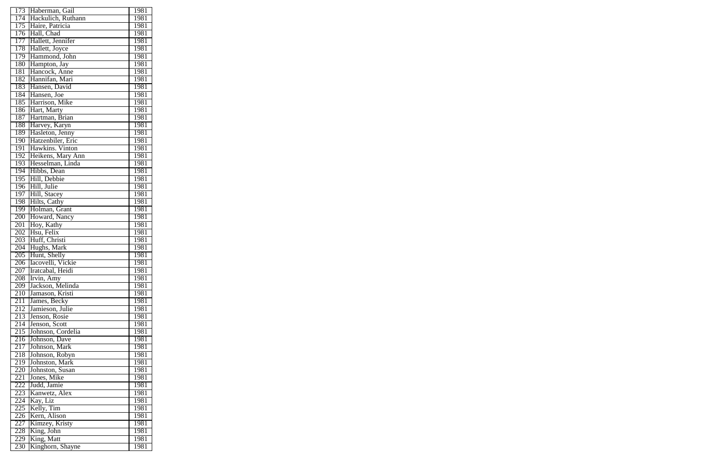| 173              | Haberman, Gail              | 1981        |
|------------------|-----------------------------|-------------|
| 174              | Hackulich, Ruthann          | 1981        |
| 175              | Haire, Patricia             | 1981        |
| $\overline{176}$ | Hall, Chad                  | 1981        |
| 177              | Hallett, Jennifer           | 1981        |
| 178              | Hallett, Joyce              | 1981        |
| 179              | Hammond, John               | 1981        |
| 180              | Hampton, Jay                | 1981        |
| 181              | Hancock, Anne               | 1981        |
| 182              | Hannifan, Mari              | 1981        |
| 183              | Hansen, David               | 1981        |
| 184              | Hansen, Joe                 | 1981        |
| 185              | Harrison, Mike              | 1981        |
| 186              | Hart, Marty                 | 1981        |
| 187              | Hartman, Brian              | 1981        |
| 188              | Harvey, Karyn               | 1981        |
| 189              | Hasleton, Jenny             | 1981        |
| 190              | Hatzenbiler, Eric           | 1981        |
| 191              | Hawkins. Vinton             | 1981        |
| 192              | Heikens, Mary Ann           | 1981        |
| 193              | Hesselman, Linda            | 1981        |
|                  |                             |             |
| 194              | Hibbs, Dean<br>Hill, Debbie | 1981        |
| 195              |                             | 1981        |
| 196              | Hill, Julie                 | 1981        |
| 197              | Hill, Stacey                | 1981        |
| 198              | Hilts, Cathy                | 1981        |
| 199              | Holman, Grant               | 1981        |
| 200              | Howard, Nancy               | 1981        |
| 201              | Hoy, Kathy                  | 1981        |
| 202              | Hsu, Felix                  | 1981        |
| 203              | Huff, Christi               | 1981        |
| 204              | Hughs, Mark                 | 1981        |
| 205              | Hunt, Shelly                | 1981        |
| 206              | Iacovelli, Vickie           | 1981        |
| 207              | Iratcabal, Heidi            | <u>1981</u> |
| 208              | Irvin, Amy                  | 1981        |
| 209              | Jackson, Melinda            | <u>1981</u> |
| 210              | Jamason, Kristi             | 1981        |
| 211              | James, Becky                | 1981        |
| 212              | Jamieson, Julie             | 1981        |
| 213              | Jenson, Rosie               | 1981        |
| 214              | Jenson, Scott               | 1981        |
| 215              | Johnson, Cordelia           | 1981        |
| 216              | Johnson, Dave               | 1981        |
| 217              | Johnson, Mark               | 1981        |
| 218              | Johnson, Robyn              | 1981        |
| 219              | Johnston, Mark              | <u>1981</u> |
| 220              | Johnston, Susan             | 1981        |
| 221              | Jones, Mike                 | 1981        |
| 222              | Judd, Jamie                 | 1981        |
| 223              | Kanwetz, Alex               | 1981        |
| 224              | Kay, Liz                    | 1981        |
| 225              | Kelly, Tim                  | 1981        |
| 226              | Kern, Alison                | 1981        |
| 227              | Kimzey, Kristy              | 1981        |
| 228              | King, John                  | 1981        |
| 229              | King, Matt                  | <u>1981</u> |
| 230              | Kinghorn, Shayne            | 1981        |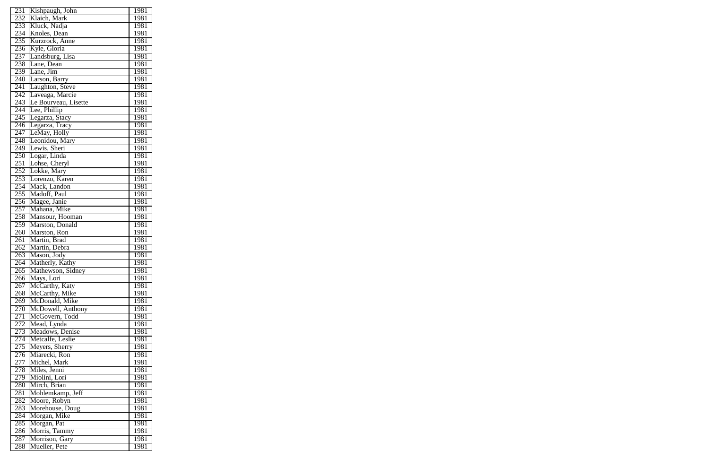| 231              | Kishpaugh, John      | 1981 |
|------------------|----------------------|------|
| 232              | Klaich, Mark         | 1981 |
| 233              | Kluck, Nadja         | 1981 |
| 234              | Knoles, Dean         | 1981 |
| 235              | Kurzrock, Anne       | 1981 |
| 236              | Kyle, Gloria         | 1981 |
| $2\overline{37}$ | Landsburg, Lisa      | 1981 |
| 238              | Lane, Dean           | 1981 |
| 239              | Lane, Jim            | 1981 |
| 240              | Larson, Barry        | 1981 |
| 241              | Laughton, Steve      | 1981 |
| 242              | Laveaga, Marcie      | 1981 |
| 243              | Le Bourveau, Lisette | 1981 |
| $\overline{244}$ | Lee, Phillip         | 1981 |
| 245              |                      | 1981 |
| 246              | Legarza, Stacy       | 1981 |
|                  | Legarza, Tracy       |      |
| 247              | LeMay, Holly         | 1981 |
| 248              | Leonidou, Mary       | 1981 |
| 249              | Lewis, Sheri         | 1981 |
| 250              | Logar, Linda         | 1981 |
| 251              | Lohse, Cheryl        | 1981 |
| 252              | Lokke, Mary          | 1981 |
| 253              | Lorenzo, Karen       | 1981 |
| 254              | Mack, Landon         | 1981 |
| 255              | Madoff, Paul         | 1981 |
| 256              | Magee, Janie         | 1981 |
| 257              | Mahana, Mike         | 1981 |
| 258              | Mansour, Hooman      | 1981 |
| 259              | Marston, Donald      | 1981 |
| 260              | Marston, Ron         | 1981 |
| 261              | Martin, Brad         | 1981 |
| 262              | Martin, Debra        | 1981 |
| 263              | Mason, Jody          | 1981 |
| 264              | Matherly, Kathy      | 1981 |
| 265              | Mathewson, Sidney    | 1981 |
| 266              | Mays, Lori           | 1981 |
| 267              | McCarthy, Katy       | 1981 |
| 268              | McCarthy, Mike       | 1981 |
| 269              | McDonald, Mike       | 1981 |
| 270              | McDowell, Anthony    | 1981 |
| 271              | McGovern, Todd       | 1981 |
| 272              | Mead, Lynda          | 1981 |
| 273              | Meadows, Denise      | 1981 |
| 274              | Metcalfe, Leslie     | 1981 |
| 275              | Meyers, Sherry       | 1981 |
| 276              | Miarecki, Ron        | 1981 |
| 277              | Michel, Mark         | 1981 |
| 278              | Miles, Jenni         | 1981 |
| 279              | Miolini, Lori        | 1981 |
| 280              | Mirch, Brian         | 1981 |
| 281              | Mohlemkamp, Jeff     | 1981 |
| 282              | Moore, Robyn         | 1981 |
| 283              | Morehouse, Doug      | 1981 |
| 284              | Morgan, Mike         | 1981 |
|                  |                      |      |
| 285              | Morgan, Pat          | 1981 |
| 286              | Morris, Tammy        | 1981 |
| 287              | Morrison, Gary       | 1981 |
| 288              | Mueller, Pete        | 1981 |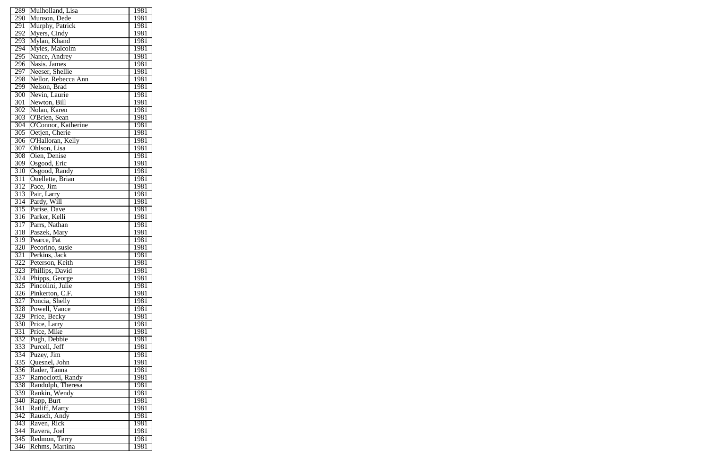| 289              | Mulholland, Lisa             | 1981         |
|------------------|------------------------------|--------------|
| 290              | Munson, Dede                 | 1981         |
| 291              | Murphy, Patrick              | 1981         |
| 292              | Myers, Cindy                 | 1981         |
| 293              | Mylan, Khand                 | 1981         |
| 294              | Myles, Malcolm               | 1981         |
| 295              | Nance, Andrey                | 1981         |
| 296              | Nasis. James                 | 1981         |
| 297              | Neeser, Shellie              | 1981         |
| 298              | Nellor, Rebecca Ann          | 1981         |
| 299              | Nelson, Brad                 | 1981         |
| 300              | Nevin, Laurie                | 1981         |
| 301              | Newton, Bill                 | 1981         |
| 302              | Nolan, Karen                 | 1981         |
| 303              | O'Brien, Sean                | 1981         |
| 304              | O'Connor, Katherine          | 1981         |
| 305              | Oetjen, Cherie               | 1981         |
| 306              | O'Halloran, Kelly            | 1981         |
| 307              | Ohlson, Lisa                 | 1981         |
|                  |                              |              |
| 308              | Oien, Denise<br>Osgood, Eric | 1981<br>1981 |
| 309              |                              |              |
| 310              | Osgood, Randy                | 1981         |
| 311              | <b>Ouellette</b> , Brian     | 1981         |
| 312              | Pace, Jim                    | 1981         |
| 313              | Pair, Larry                  | 1981         |
| 314              | Pardy, Will                  | 1981         |
| 315              | Parise, Dave                 | 1981         |
| 316              | Parker, Kelli                | 1981         |
| 317              | Parrs, Nathan                | 1981         |
| 318              | Paszek, Mary                 | 1981         |
| $\overline{319}$ | Pearce, Pat                  | 1981         |
| 320              | Pecorino, susie              | 1981         |
| 321              | Perkins, Jack                | 1981         |
| 322              | Peterson, Keith              | 1981         |
| 323              | Phillips, David              | 1981         |
| 324              | Phipps, George               | 1981         |
| 325              | Pincolini, Julie             | 1981         |
| 326              | Pinkerton, C.F.              | 1981         |
| 327              | Poncia, Shelly               | 1981         |
| 328              | Powell, Vance                | 1981         |
| 329              | Price, Becky                 | 1981         |
| 330              | Price, Larry                 | 1981         |
| 331              | Price, Mike                  | 1981         |
| 332              | Pugh, Debbie                 | 1981         |
| 333              | Purcell, Jeff                | 1981         |
| 334              | Puzey, Jim                   | 1981         |
| 335              | Quesnel, John                | 1981         |
| 336              | Rader, Tanna                 | 1981         |
| 337              | Ramociotti, Randy            | 1981         |
| 338              | Randolph, Theresa            | 1981         |
| 339              | Rankin, Wendy                | 1981         |
| 340              | Rapp, Burt                   | 1981         |
| 341              | Ratliff, Marty               | 1981         |
| 342              | Rausch, Andy                 | 1981         |
| 343              | Raven, Rick                  | 1981         |
| 344              | Ravera, Joel                 | 1981         |
| 345              | Redmon, Terry                | 1981         |
| 346              | Rehms, Martina               | 1981         |
|                  |                              |              |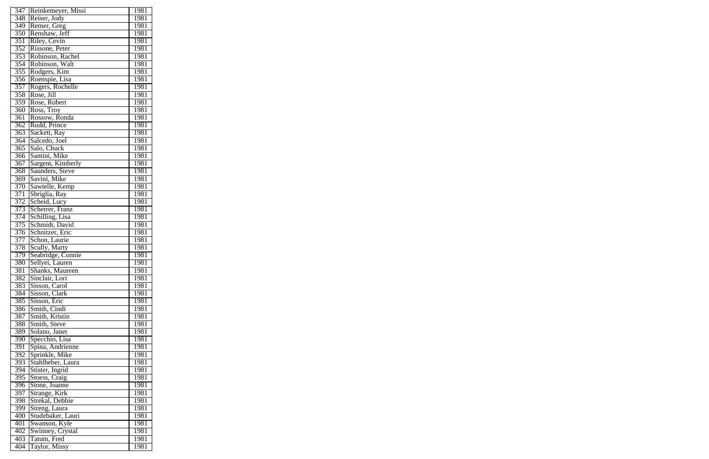| 347              | Reinkemeyer, Missi               | 1981        |
|------------------|----------------------------------|-------------|
| 348              | Reiser, Jody                     | 1981        |
| 349              | Remer, Greg                      | 1981        |
| 350              | Renshaw, Jeff                    | 1981        |
| 351              | Riley, Cevin                     | 1981        |
| 352              | Rissone, Peter                   | 1981        |
| 353              | Robinson, Rachel                 | 1981        |
| 354              | Robinson, Walt                   | 1981        |
| 355              | Rodgers, Kim                     | 1981        |
| 356              | Roenspie, Lisa                   | 1981        |
| 357              | Rogers, Rochelle                 | 1981        |
| 358              | Rose, Jill                       | 1981        |
| 359              | Rose, Robert                     | 1981        |
| 360              | Ross, Troy                       | 1981        |
| 361              |                                  | 1981        |
|                  | Rossow, Ronda<br>Rudd, Prince    | 1981        |
| $\overline{362}$ |                                  |             |
| 363              | Sackett, Ray                     | 1981        |
| 364              | Salcedo, Joel                    | 1981        |
| 365              | Salo, Chuck                      | 1981        |
| 366              | Santini, Mike                    | 1981        |
| $\overline{367}$ | Sargent, Kimberly                | 1981        |
| 368              | Saunders, Steve                  | 1981        |
| 369              | Savini, Mike                     | 1981        |
| 370              | Sawtelle, Kemp                   | 1981        |
| 371              | Sbriglia, Ray                    | 1981        |
| 372              | Scheid, Lucy                     | 1981        |
| 373              | Scherrer, Franz                  | 1981        |
| 374              | Schilling, Lisa                  | 1981        |
| 375              | Schmidt, David                   | 1981        |
| 376              | Schnitzer, Eric                  | 1981        |
| $\overline{377}$ | Schon, Laurie                    | 1981        |
| 378              | Scully, Marty                    | 1981        |
| 379              | Seabridge, Connie                | 1981        |
| 380              | Sellyei, Lauren                  | <u>1981</u> |
| $\overline{381}$ | Shanks, Maureen                  | 1981        |
| 382              | Sinclair, Lori                   | 1981        |
| 383              | Sisson, Carol                    | 1981        |
| 384              | Sisson, Clark                    | <u>1981</u> |
| 385              | Sisson, Eric                     | 1981        |
| 386              | Smith, Cindi                     | 1981        |
| 387              | Smith, Kristin                   | 1981        |
| 388              | Smith, Steve                     | 1981        |
| 389              | Solano, Janet                    | 1981        |
| 390              | Specchio, Lisa                   | 1981        |
| $\overline{391}$ | Spina, Andrienne                 | 1981        |
| 392              | Sprinkle, Mike                   | 1981        |
| 393              | Stahlheber, Laura                | 1981        |
| 394              | Stister, Ingrid                  | <u>1981</u> |
| 395              | Stoess, Craig                    | 1981        |
| 396              | Stone, Joanne                    | 1981        |
| 397              |                                  | 1981        |
| 398              | Strange, Kirk<br>Strekal, Debbie | 1981        |
|                  |                                  |             |
| 399              | Streng, Laura                    | 1981        |
| 400              | Studebaker, Lauri                | 1981        |
| 401              | Swanson, Kyle                    | 1981        |
| 402              | Swinney, Crystal                 | 1981        |
| 403              | Tatum, Fred                      | 1981        |
| 404              | <b>Taylor</b> , Missy            | 1981        |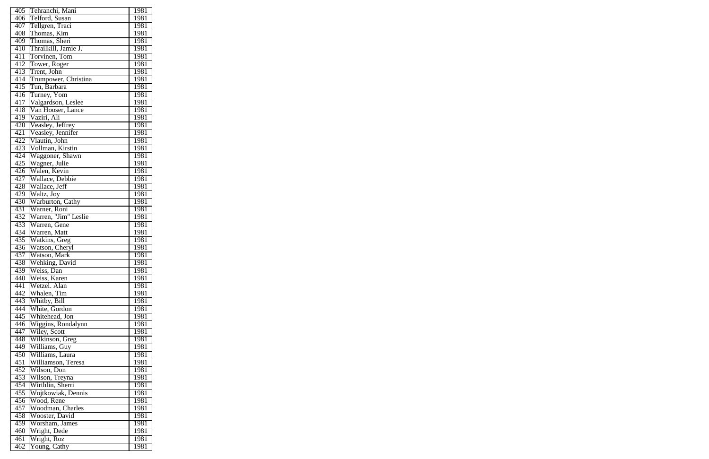| 405              | Tehranchi, Mani      | 1981 |
|------------------|----------------------|------|
| 406              | Telford, Susan       | 1981 |
| 407              | Tellgren, Traci      | 1981 |
| 408              | Thomas, Kim          | 1981 |
| 409              | Thomas, Sheri        | 1981 |
| 410              | Thrailkill, Jamie J. | 1981 |
| 411              | Torvinen, Tom        | 1981 |
| 412              | Tower, Roger         | 1981 |
| 413              | Trent, John          | 1981 |
| 414              | Trumpower, Christina | 1981 |
| 415              | Tun, Barbara         | 1981 |
| 416              | Turney, Yom          | 1981 |
| 417              | Valgardson, Leslee   | 1981 |
| 418              | Van Hooser, Lance    | 1981 |
| 419              | Vaziri, Ali          | 1981 |
| 420              | Veasley, Jeffrey     | 1981 |
| 421              | Veasley, Jennifer    | 1981 |
| 422              | Vlautin, John        | 1981 |
| 423              | Vollman, Kirstin     | 1981 |
| 424              | Waggoner, Shawn      | 1981 |
| 425              | Wagner, Julie        | 1981 |
| 426              | Walen, Kevin         | 1981 |
| 427              | Wallace, Debbie      | 1981 |
| 428              | Wallace, Jeff        | 1981 |
| 429              | Waltz, Joy           | 1981 |
| 430              | Warburton, Cathy     | 1981 |
| $43\overline{1}$ | Warner, Roni         | 1981 |
| 432              | Warren, "Jim" Leslie | 1981 |
| 433              | Warren, Gene         | 1981 |
| 434              | Warren, Matt         | 1981 |
| 435              | Watkins, Greg        | 1981 |
| 436              | Watson, Cheryl       | 1981 |
| 437              | Watson, Mark         | 1981 |
| $\overline{438}$ | Wehking, David       | 1981 |
| 439              | Weiss, Dan           | 1981 |
| 440              | Weiss, Karen         | 1981 |
| 441              | Wetzel. Alan         | 1981 |
| 442              | Whalen, Tim          | 1981 |
| 443              | Whitby, Bill         | 1981 |
| 444              | White, Gordon        | 1981 |
| 445              | Whitehead, Jon       | 1981 |
| 446              | Wiggins, Rondalynn   | 1981 |
| 447              | Wiley, Scott         | 1981 |
| 448              | Wilkinson, Greg      | 1981 |
| 449              | Williams, Guy        | 1981 |
| 450              | Williams, Laura      | 1981 |
| 451              | Williamson, Teresa   | 1981 |
| 452              | Wilson, Don          | 1981 |
| 453              | Wilson, Treyna       | 1981 |
| 454              | Wirthlin, Sherri     | 1981 |
| 455              | Wojtkowiak, Dennis   | 1981 |
| 456              | Wood, Rene           | 1981 |
| 457              | Woodman, Charles     | 1981 |
| 458              | Wooster, David       | 1981 |
| 459              | Worsham, James       | 1981 |
| 460              | Wright, Dede         | 1981 |
| 461              | Wright, Roz          | 1981 |
| 462              | Young, Cathy         | 1981 |
|                  |                      |      |